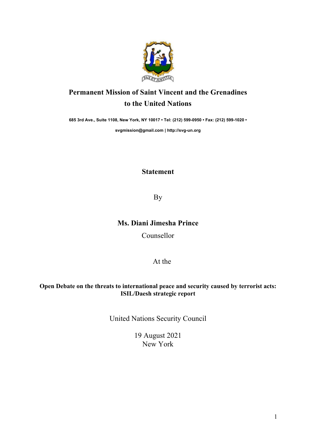

## **Permanent Mission of Saint Vincent and the Grenadines to the United Nations**

**685 3rd Ave., Suite 1108, New York, NY 10017 • Tel: (212) 599-0950 • Fax: (212) 599-1020 •** 

**svgmission@gmail.com | http://svg-un.org**

## **Statement**

By

## **Ms. Diani Jimesha Prince**

Counsellor

At the

## **Open Debate on the threats to international peace and security caused by terrorist acts: ISIL/Daesh strategic report**

United Nations Security Council

19 August 2021 New York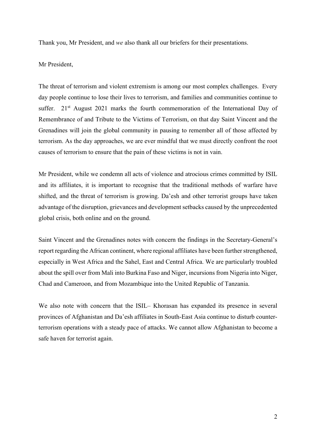Thank you, Mr President, and *we* also thank all our briefers for their presentations.

Mr President,

The threat of terrorism and violent extremism is among our most complex challenges. Every day people continue to lose their lives to terrorism, and families and communities continue to suffer. 21<sup>st</sup> August 2021 marks the fourth commemoration of the International Day of Remembrance of and Tribute to the Victims of Terrorism, on that day Saint Vincent and the Grenadines will join the global community in pausing to remember all of those affected by terrorism. As the day approaches, we are ever mindful that we must directly confront the root causes of terrorism to ensure that the pain of these victims is not in vain.

Mr President, while we condemn all acts of violence and atrocious crimes committed by ISIL and its affiliates, it is important to recognise that the traditional methods of warfare have shifted, and the threat of terrorism is growing. Da'esh and other terrorist groups have taken advantage of the disruption, grievances and development setbacks caused by the unprecedented global crisis, both online and on the ground.

Saint Vincent and the Grenadines notes with concern the findings in the Secretary-General's report regarding the African continent, where regional affiliates have been further strengthened, especially in West Africa and the Sahel, East and Central Africa. We are particularly troubled about the spill over from Mali into Burkina Faso and Niger, incursions from Nigeria into Niger, Chad and Cameroon, and from Mozambique into the United Republic of Tanzania.

We also note with concern that the ISIL– Khorasan has expanded its presence in several provinces of Afghanistan and Da'esh affiliates in South-East Asia continue to disturb counterterrorism operations with a steady pace of attacks. We cannot allow Afghanistan to become a safe haven for terrorist again.